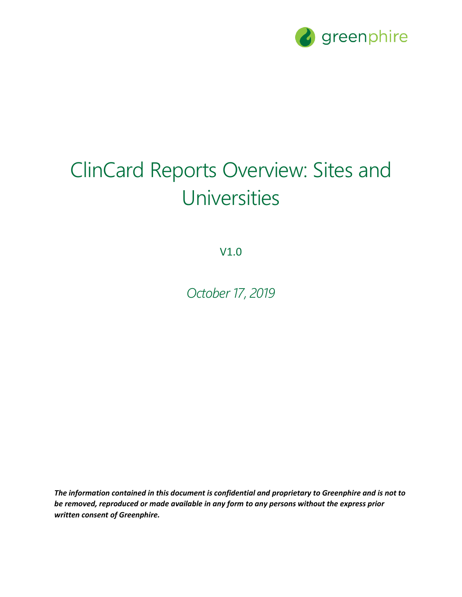

## ClinCard Reports Overview: Sites and Universities

V1.0

*October 17, 2019*

*The information contained in this document is confidential and proprietary to Greenphire and is not to be removed, reproduced or made available in any form to any persons without the express prior written consent of Greenphire.*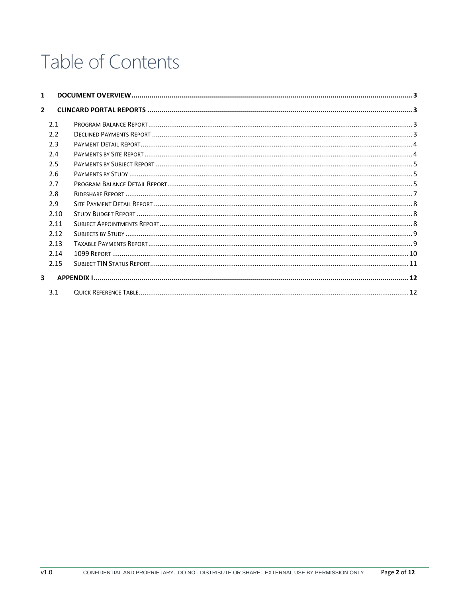## Table of Contents

| 1              |      |  |
|----------------|------|--|
| $\overline{2}$ |      |  |
|                | 2.1  |  |
|                | 2.2  |  |
|                | 2.3  |  |
|                | 2.4  |  |
|                | 2.5  |  |
|                | 2.6  |  |
|                | 2.7  |  |
|                | 2.8  |  |
|                | 2.9  |  |
|                | 2.10 |  |
|                | 2.11 |  |
|                | 2.12 |  |
|                | 2.13 |  |
|                | 2.14 |  |
|                | 2.15 |  |
| 3              |      |  |
|                | 3.1  |  |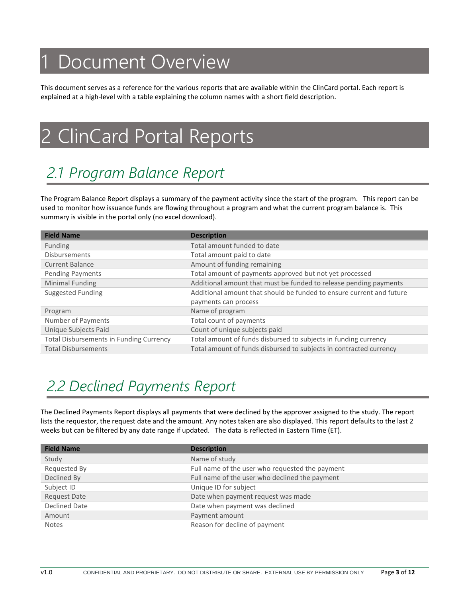## <span id="page-2-0"></span>Document Overview

This document serves as a reference for the various reports that are available within the ClinCard portal. Each report is explained at a high-level with a table explaining the column names with a short field description.

## <span id="page-2-1"></span>2 ClinCard Portal Reports

## <span id="page-2-2"></span>*2.1 Program Balance Report*

The Program Balance Report displays a summary of the payment activity since the start of the program. This report can be used to monitor how issuance funds are flowing throughout a program and what the current program balance is. This summary is visible in the portal only (no excel download).

| <b>Field Name</b>                              | <b>Description</b>                                                   |
|------------------------------------------------|----------------------------------------------------------------------|
| <b>Funding</b>                                 | Total amount funded to date                                          |
| <b>Disbursements</b>                           | Total amount paid to date                                            |
| <b>Current Balance</b>                         | Amount of funding remaining                                          |
| Pending Payments                               | Total amount of payments approved but not yet processed              |
| Minimal Funding                                | Additional amount that must be funded to release pending payments    |
| Suggested Funding                              | Additional amount that should be funded to ensure current and future |
|                                                | payments can process                                                 |
| Program                                        | Name of program                                                      |
| Number of Payments                             | Total count of payments                                              |
| Unique Subjects Paid                           | Count of unique subjects paid                                        |
| <b>Total Disbursements in Funding Currency</b> | Total amount of funds disbursed to subjects in funding currency      |
| <b>Total Disbursements</b>                     | Total amount of funds disbursed to subjects in contracted currency   |

## <span id="page-2-3"></span>*2.2 Declined Payments Report*

The Declined Payments Report displays all payments that were declined by the approver assigned to the study. The report lists the requestor, the request date and the amount. Any notes taken are also displayed. This report defaults to the last 2 weeks but can be filtered by any date range if updated. The data is reflected in Eastern Time (ET).

| <b>Field Name</b>   | <b>Description</b>                              |
|---------------------|-------------------------------------------------|
| Study               | Name of study                                   |
| Requested By        | Full name of the user who requested the payment |
| Declined By         | Full name of the user who declined the payment  |
| Subject ID          | Unique ID for subject                           |
| <b>Request Date</b> | Date when payment request was made              |
| Declined Date       | Date when payment was declined                  |
| Amount              | Payment amount                                  |
| <b>Notes</b>        | Reason for decline of payment                   |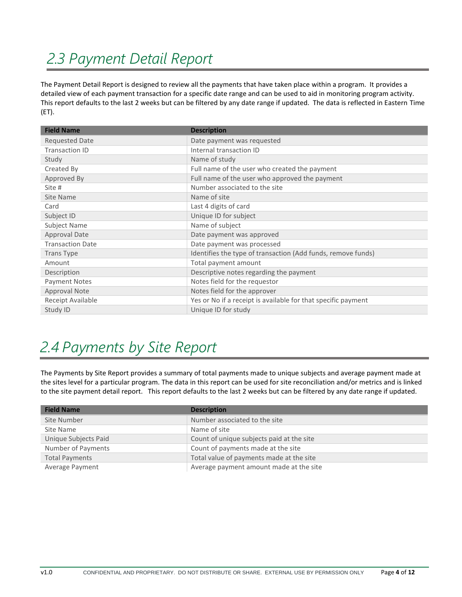## <span id="page-3-0"></span>*2.3 Payment Detail Report*

The Payment Detail Report is designed to review all the payments that have taken place within a program. It provides a detailed view of each payment transaction for a specific date range and can be used to aid in monitoring program activity. This report defaults to the last 2 weeks but can be filtered by any date range if updated. The data is reflected in Eastern Time (ET).

| <b>Field Name</b>       | <b>Description</b>                                            |
|-------------------------|---------------------------------------------------------------|
| <b>Requested Date</b>   | Date payment was requested                                    |
| <b>Transaction ID</b>   | Internal transaction ID                                       |
| Study                   | Name of study                                                 |
| Created By              | Full name of the user who created the payment                 |
| Approved By             | Full name of the user who approved the payment                |
| Site #                  | Number associated to the site                                 |
| Site Name               | Name of site                                                  |
| Card                    | Last 4 digits of card                                         |
| Subject ID              | Unique ID for subject                                         |
| Subject Name            | Name of subject                                               |
| <b>Approval Date</b>    | Date payment was approved                                     |
| <b>Transaction Date</b> | Date payment was processed                                    |
| <b>Trans Type</b>       | Identifies the type of transaction (Add funds, remove funds)  |
| Amount                  | Total payment amount                                          |
| Description             | Descriptive notes regarding the payment                       |
| <b>Payment Notes</b>    | Notes field for the requestor                                 |
| <b>Approval Note</b>    | Notes field for the approver                                  |
| Receipt Available       | Yes or No if a receipt is available for that specific payment |
| Study ID                | Unique ID for study                                           |

## <span id="page-3-1"></span>*2.4 Payments by Site Report*

The Payments by Site Report provides a summary of total payments made to unique subjects and average payment made at the sites level for a particular program. The data in this report can be used for site reconciliation and/or metrics and is linked to the site payment detail report. This report defaults to the last 2 weeks but can be filtered by any date range if updated.

| <b>Field Name</b>     | <b>Description</b>                        |
|-----------------------|-------------------------------------------|
| Site Number           | Number associated to the site             |
| Site Name             | Name of site                              |
| Unique Subjects Paid  | Count of unique subjects paid at the site |
| Number of Payments    | Count of payments made at the site        |
| <b>Total Payments</b> | Total value of payments made at the site  |
| Average Payment       | Average payment amount made at the site   |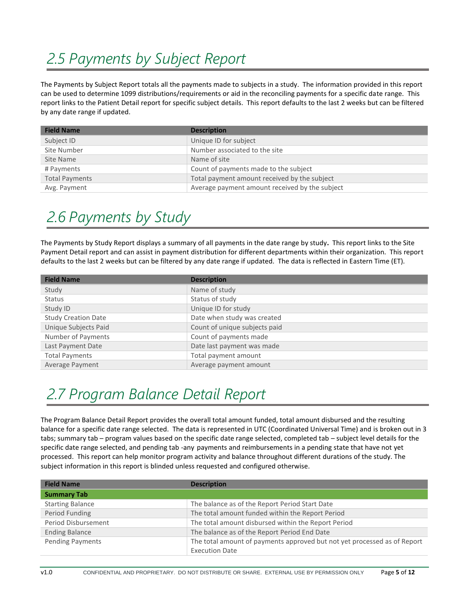## <span id="page-4-0"></span>*2.5 Payments by Subject Report*

The Payments by Subject Report totals all the payments made to subjects in a study. The information provided in this report can be used to determine 1099 distributions/requirements or aid in the reconciling payments for a specific date range. This report links to the Patient Detail report for specific subject details. This report defaults to the last 2 weeks but can be filtered by any date range if updated.

| <b>Field Name</b>     | <b>Description</b>                             |
|-----------------------|------------------------------------------------|
| Subject ID            | Unique ID for subject                          |
| Site Number           | Number associated to the site                  |
| Site Name             | Name of site                                   |
| # Payments            | Count of payments made to the subject          |
| <b>Total Payments</b> | Total payment amount received by the subject   |
| Avg. Payment          | Average payment amount received by the subject |

#### <span id="page-4-1"></span>*2.6 Payments by Study*

The Payments by Study Report displays a summary of all payments in the date range by study**.** This report links to the Site Payment Detail report and can assist in payment distribution for different departments within their organization. This report defaults to the last 2 weeks but can be filtered by any date range if updated. The data is reflected in Eastern Time (ET).

| <b>Field Name</b>          | <b>Description</b>            |
|----------------------------|-------------------------------|
| Study                      | Name of study                 |
| <b>Status</b>              | Status of study               |
| Study ID                   | Unique ID for study           |
| <b>Study Creation Date</b> | Date when study was created   |
| Unique Subjects Paid       | Count of unique subjects paid |
| Number of Payments         | Count of payments made        |
| Last Payment Date          | Date last payment was made    |
| <b>Total Payments</b>      | Total payment amount          |
| Average Payment            | Average payment amount        |

## <span id="page-4-2"></span>*2.7 Program Balance Detail Report*

The Program Balance Detail Report provides the overall total amount funded, total amount disbursed and the resulting balance for a specific date range selected. The data is represented in UTC (Coordinated Universal Time) and is broken out in 3 tabs; summary tab – program values based on the specific date range selected, completed tab – subject level details for the specific date range selected, and pending tab -any payments and reimbursements in a pending state that have not yet processed. This report can help monitor program activity and balance throughout different durations of the study. The subject information in this report is blinded unless requested and configured otherwise.

| <b>Field Name</b>       | <b>Description</b>                                                       |
|-------------------------|--------------------------------------------------------------------------|
| <b>Summary Tab</b>      |                                                                          |
| <b>Starting Balance</b> | The balance as of the Report Period Start Date                           |
| Period Funding          | The total amount funded within the Report Period                         |
| Period Disbursement     | The total amount disbursed within the Report Period                      |
| <b>Ending Balance</b>   | The balance as of the Report Period End Date                             |
| Pending Payments        | The total amount of payments approved but not yet processed as of Report |
|                         | <b>Execution Date</b>                                                    |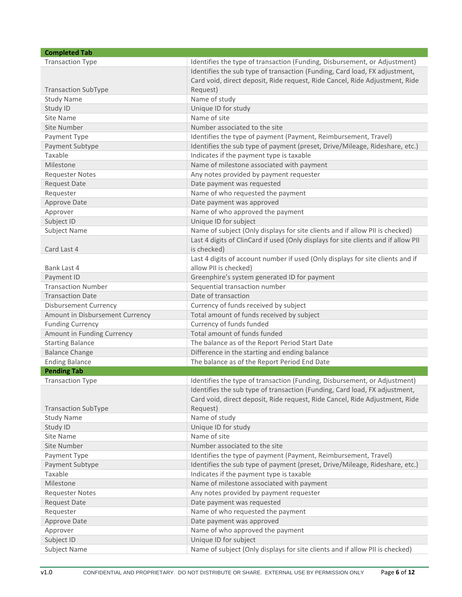| <b>Completed Tab</b>            |                                                                                    |
|---------------------------------|------------------------------------------------------------------------------------|
| <b>Transaction Type</b>         | Identifies the type of transaction (Funding, Disbursement, or Adjustment)          |
|                                 | Identifies the sub type of transaction (Funding, Card load, FX adjustment,         |
|                                 | Card void, direct deposit, Ride request, Ride Cancel, Ride Adjustment, Ride        |
| <b>Transaction SubType</b>      | Request)                                                                           |
| <b>Study Name</b>               | Name of study                                                                      |
| Study ID                        | Unique ID for study                                                                |
| Site Name                       | Name of site                                                                       |
| Site Number                     | Number associated to the site                                                      |
| Payment Type                    | Identifies the type of payment (Payment, Reimbursement, Travel)                    |
| Payment Subtype                 | Identifies the sub type of payment (preset, Drive/Mileage, Rideshare, etc.)        |
| Taxable                         | Indicates if the payment type is taxable                                           |
| Milestone                       | Name of milestone associated with payment                                          |
| <b>Requester Notes</b>          | Any notes provided by payment requester                                            |
| <b>Request Date</b>             | Date payment was requested                                                         |
| Requester                       | Name of who requested the payment                                                  |
| Approve Date                    | Date payment was approved                                                          |
| Approver                        | Name of who approved the payment                                                   |
| Subject ID                      | Unique ID for subject                                                              |
| Subject Name                    | Name of subject (Only displays for site clients and if allow PII is checked)       |
|                                 | Last 4 digits of ClinCard if used (Only displays for site clients and if allow PII |
| Card Last 4                     | is checked)                                                                        |
|                                 | Last 4 digits of account number if used (Only displays for site clients and if     |
| Bank Last 4                     | allow PII is checked)                                                              |
| Payment ID                      | Greenphire's system generated ID for payment                                       |
| <b>Transaction Number</b>       | Sequential transaction number                                                      |
| <b>Transaction Date</b>         | Date of transaction                                                                |
| <b>Disbursement Currency</b>    |                                                                                    |
|                                 | Currency of funds received by subject                                              |
| Amount in Disbursement Currency | Total amount of funds received by subject                                          |
| <b>Funding Currency</b>         | Currency of funds funded                                                           |
| Amount in Funding Currency      | Total amount of funds funded                                                       |
| <b>Starting Balance</b>         | The balance as of the Report Period Start Date                                     |
| <b>Balance Change</b>           | Difference in the starting and ending balance                                      |
| <b>Ending Balance</b>           | The balance as of the Report Period End Date                                       |
| <b>Pending Tab</b>              |                                                                                    |
| <b>Transaction Type</b>         | Identifies the type of transaction (Funding, Disbursement, or Adjustment)          |
|                                 | Identifies the sub type of transaction (Funding, Card load, FX adjustment,         |
|                                 | Card void, direct deposit, Ride request, Ride Cancel, Ride Adjustment, Ride        |
| <b>Transaction SubType</b>      | Request)                                                                           |
| <b>Study Name</b>               | Name of study                                                                      |
| Study ID                        | Unique ID for study                                                                |
| Site Name                       | Name of site                                                                       |
| Site Number                     | Number associated to the site                                                      |
| Payment Type                    | Identifies the type of payment (Payment, Reimbursement, Travel)                    |
| Payment Subtype                 | Identifies the sub type of payment (preset, Drive/Mileage, Rideshare, etc.)        |
| Taxable                         | Indicates if the payment type is taxable                                           |
| Milestone                       | Name of milestone associated with payment                                          |
| <b>Requester Notes</b>          | Any notes provided by payment requester                                            |
| <b>Request Date</b>             | Date payment was requested                                                         |
| Requester                       | Name of who requested the payment                                                  |
| Approve Date                    | Date payment was approved                                                          |
| Approver                        | Name of who approved the payment                                                   |
| Subject ID                      | Unique ID for subject                                                              |
| Subject Name                    | Name of subject (Only displays for site clients and if allow PII is checked)       |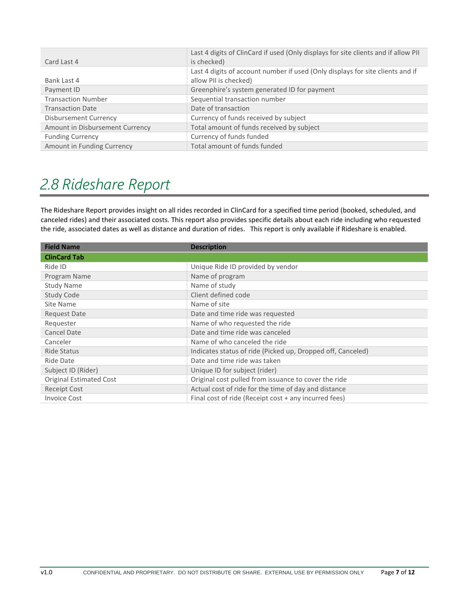| Card Last 4                     | Last 4 digits of ClinCard if used (Only displays for site clients and if allow PII<br>is checked)       |
|---------------------------------|---------------------------------------------------------------------------------------------------------|
| Bank Last 4                     | Last 4 digits of account number if used (Only displays for site clients and if<br>allow PII is checked) |
| Payment ID                      | Greenphire's system generated ID for payment                                                            |
| <b>Transaction Number</b>       | Sequential transaction number                                                                           |
| <b>Transaction Date</b>         | Date of transaction                                                                                     |
| <b>Disbursement Currency</b>    | Currency of funds received by subject                                                                   |
| Amount in Disbursement Currency | Total amount of funds received by subject                                                               |
| <b>Funding Currency</b>         | Currency of funds funded                                                                                |
| Amount in Funding Currency      | Total amount of funds funded                                                                            |

#### <span id="page-6-0"></span>*2.8 Rideshare Report*

The Rideshare Report provides insight on all rides recorded in ClinCard for a specified time period (booked, scheduled, and canceled rides) and their associated costs. This report also provides specific details about each ride including who requested the ride, associated dates as well as distance and duration of rides. This report is only available if Rideshare is enabled.

| <b>Field Name</b>       | <b>Description</b>                                          |
|-------------------------|-------------------------------------------------------------|
| <b>ClinCard Tab</b>     |                                                             |
| Ride ID                 | Unique Ride ID provided by vendor                           |
| Program Name            | Name of program                                             |
| <b>Study Name</b>       | Name of study                                               |
| Study Code              | Client defined code                                         |
| Site Name               | Name of site                                                |
| <b>Request Date</b>     | Date and time ride was requested                            |
| Requester               | Name of who requested the ride                              |
| Cancel Date             | Date and time ride was canceled                             |
| Canceler                | Name of who canceled the ride                               |
| Ride Status             | Indicates status of ride (Picked up, Dropped off, Canceled) |
| Ride Date               | Date and time ride was taken                                |
| Subject ID (Rider)      | Unique ID for subject (rider)                               |
| Original Estimated Cost | Original cost pulled from issuance to cover the ride        |
| Receipt Cost            | Actual cost of ride for the time of day and distance        |
| <b>Invoice Cost</b>     | Final cost of ride (Receipt cost + any incurred fees)       |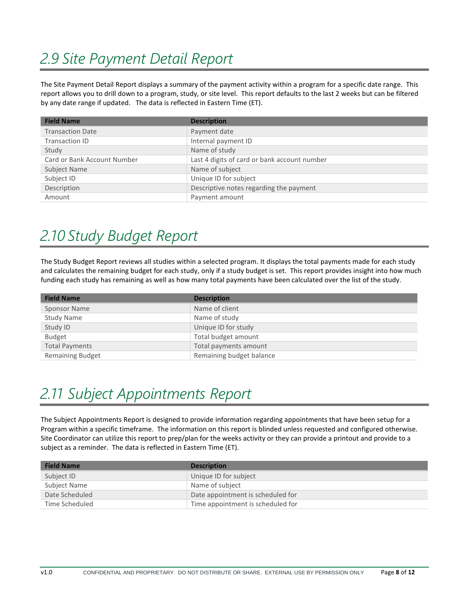#### <span id="page-7-0"></span>*2.9 Site Payment Detail Report*

The Site Payment Detail Report displays a summary of the payment activity within a program for a specific date range. This report allows you to drill down to a program, study, or site level. This report defaults to the last 2 weeks but can be filtered by any date range if updated. The data is reflected in Eastern Time (ET).

| <b>Field Name</b>           | <b>Description</b>                           |
|-----------------------------|----------------------------------------------|
| <b>Transaction Date</b>     | Payment date                                 |
| Transaction ID              | Internal payment ID                          |
| Study                       | Name of study                                |
| Card or Bank Account Number | Last 4 digits of card or bank account number |
| Subject Name                | Name of subject                              |
| Subject ID                  | Unique ID for subject                        |
| Description                 | Descriptive notes regarding the payment      |
| Amount                      | Payment amount                               |

#### <span id="page-7-1"></span>*2.10 Study Budget Report*

The Study Budget Report reviews all studies within a selected program. It displays the total payments made for each study and calculates the remaining budget for each study, only if a study budget is set. This report provides insight into how much funding each study has remaining as well as how many total payments have been calculated over the list of the study.

| <b>Field Name</b>       | <b>Description</b>       |
|-------------------------|--------------------------|
| Sponsor Name            | Name of client           |
| <b>Study Name</b>       | Name of study            |
| Study ID                | Unique ID for study      |
| <b>Budget</b>           | Total budget amount      |
| <b>Total Payments</b>   | Total payments amount    |
| <b>Remaining Budget</b> | Remaining budget balance |

## <span id="page-7-2"></span>*2.11 Subject Appointments Report*

The Subject Appointments Report is designed to provide information regarding appointments that have been setup for a Program within a specific timeframe. The information on this report is blinded unless requested and configured otherwise. Site Coordinator can utilize this report to prep/plan for the weeks activity or they can provide a printout and provide to a subject as a reminder. The data is reflected in Eastern Time (ET).

| <b>Field Name</b> | <b>Description</b>                |
|-------------------|-----------------------------------|
| Subject ID        | Unique ID for subject             |
| Subject Name      | Name of subject                   |
| Date Scheduled    | Date appointment is scheduled for |
| Time Scheduled    | Time appointment is scheduled for |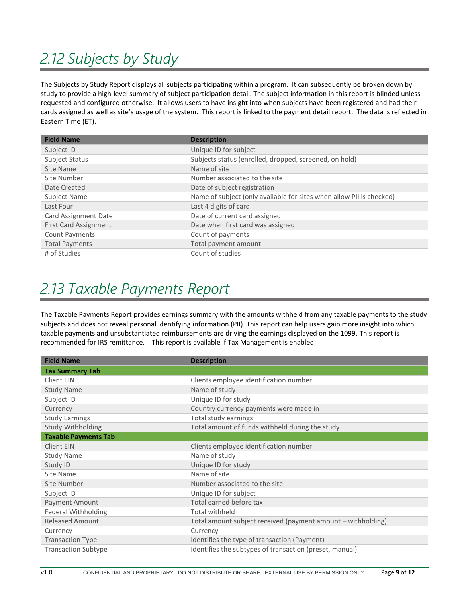## <span id="page-8-0"></span>*2.12 Subjects by Study*

The Subjects by Study Report displays all subjects participating within a program. It can subsequently be broken down by study to provide a high-level summary of subject participation detail. The subject information in this report is blinded unless requested and configured otherwise. It allows users to have insight into when subjects have been registered and had their cards assigned as well as site's usage of the system. This report is linked to the payment detail report. The data is reflected in Eastern Time (ET).

| <b>Field Name</b>            | <b>Description</b>                                                   |
|------------------------------|----------------------------------------------------------------------|
| Subject ID                   | Unique ID for subject                                                |
| Subject Status               | Subjects status (enrolled, dropped, screened, on hold)               |
| Site Name                    | Name of site                                                         |
| Site Number                  | Number associated to the site                                        |
| Date Created                 | Date of subject registration                                         |
| Subject Name                 | Name of subject (only available for sites when allow PII is checked) |
| Last Four                    | Last 4 digits of card                                                |
| Card Assignment Date         | Date of current card assigned                                        |
| <b>First Card Assignment</b> | Date when first card was assigned                                    |
| <b>Count Payments</b>        | Count of payments                                                    |
| <b>Total Payments</b>        | Total payment amount                                                 |
| # of Studies                 | Count of studies                                                     |

#### <span id="page-8-1"></span>*2.13 Taxable Payments Report*

The Taxable Payments Report provides earnings summary with the amounts withheld from any taxable payments to the study subjects and does not reveal personal identifying information (PII). This report can help users gain more insight into which taxable payments and unsubstantiated reimbursements are driving the earnings displayed on the 1099. This report is recommended for IRS remittance. This report is available if Tax Management is enabled.

| <b>Field Name</b>           | <b>Description</b>                                           |
|-----------------------------|--------------------------------------------------------------|
| <b>Tax Summary Tab</b>      |                                                              |
| Client EIN                  | Clients employee identification number                       |
| <b>Study Name</b>           | Name of study                                                |
| Subject ID                  | Unique ID for study                                          |
| Currency                    | Country currency payments were made in                       |
| <b>Study Earnings</b>       | Total study earnings                                         |
| Study Withholding           | Total amount of funds withheld during the study              |
| <b>Taxable Payments Tab</b> |                                                              |
| Client EIN                  | Clients employee identification number                       |
| <b>Study Name</b>           | Name of study                                                |
| Study ID                    | Unique ID for study                                          |
| Site Name                   | Name of site                                                 |
| Site Number                 | Number associated to the site                                |
| Subject ID                  | Unique ID for subject                                        |
| Payment Amount              | Total earned before tax                                      |
| <b>Federal Withholding</b>  | Total withheld                                               |
| <b>Released Amount</b>      | Total amount subject received (payment amount - withholding) |
| Currency                    | Currency                                                     |
| <b>Transaction Type</b>     | Identifies the type of transaction (Payment)                 |
| <b>Transaction Subtype</b>  | Identifies the subtypes of transaction (preset, manual)      |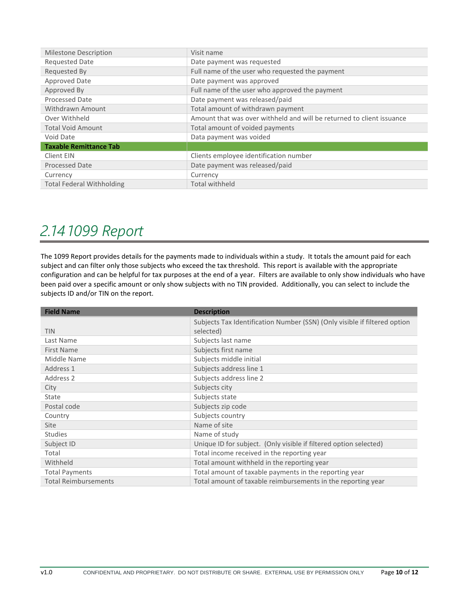| <b>Milestone Description</b>     | Visit name                                                            |
|----------------------------------|-----------------------------------------------------------------------|
| <b>Requested Date</b>            | Date payment was requested                                            |
| Requested By                     | Full name of the user who requested the payment                       |
| Approved Date                    | Date payment was approved                                             |
| Approved By                      | Full name of the user who approved the payment                        |
| Processed Date                   | Date payment was released/paid                                        |
| Withdrawn Amount                 | Total amount of withdrawn payment                                     |
| Over Withheld                    | Amount that was over withheld and will be returned to client issuance |
| <b>Total Void Amount</b>         | Total amount of voided payments                                       |
| Void Date                        | Data payment was voided                                               |
| <b>Taxable Remittance Tab</b>    |                                                                       |
| Client EIN                       | Clients employee identification number                                |
| <b>Processed Date</b>            | Date payment was released/paid                                        |
| Currency                         | Currency                                                              |
| <b>Total Federal Withholding</b> | <b>Total withheld</b>                                                 |

#### <span id="page-9-0"></span>*2.14 1099 Report*

The 1099 Report provides details for the payments made to individuals within a study. It totals the amount paid for each subject and can filter only those subjects who exceed the tax threshold. This report is available with the appropriate configuration and can be helpful for tax purposes at the end of a year. Filters are available to only show individuals who have been paid over a specific amount or only show subjects with no TIN provided. Additionally, you can select to include the subjects ID and/or TIN on the report.

| <b>Field Name</b>           | <b>Description</b>                                                                     |
|-----------------------------|----------------------------------------------------------------------------------------|
| <b>TIN</b>                  | Subjects Tax Identification Number (SSN) (Only visible if filtered option<br>selected) |
| Last Name                   | Subjects last name                                                                     |
| <b>First Name</b>           | Subjects first name                                                                    |
| Middle Name                 | Subjects middle initial                                                                |
| Address 1                   | Subjects address line 1                                                                |
| Address 2                   | Subjects address line 2                                                                |
| City                        | Subjects city                                                                          |
| State                       | Subjects state                                                                         |
| Postal code                 | Subjects zip code                                                                      |
| Country                     | Subjects country                                                                       |
| Site                        | Name of site                                                                           |
| <b>Studies</b>              | Name of study                                                                          |
| Subject ID                  | Unique ID for subject. (Only visible if filtered option selected)                      |
| Total                       | Total income received in the reporting year                                            |
| Withheld                    | Total amount withheld in the reporting year                                            |
| <b>Total Payments</b>       | Total amount of taxable payments in the reporting year                                 |
| <b>Total Reimbursements</b> | Total amount of taxable reimbursements in the reporting year                           |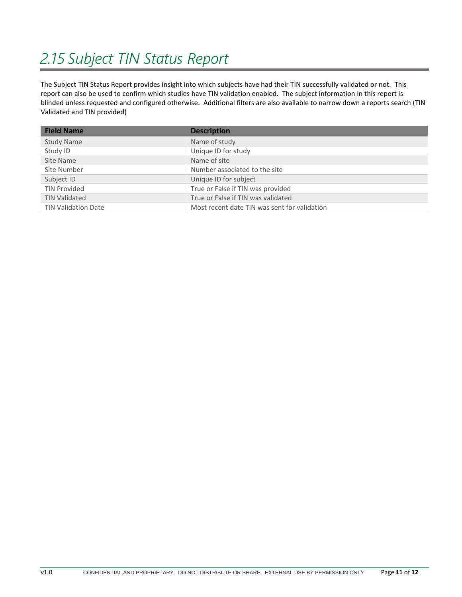## <span id="page-10-0"></span>*2.15 Subject TIN Status Report*

The Subject TIN Status Report provides insight into which subjects have had their TIN successfully validated or not. This report can also be used to confirm which studies have TIN validation enabled. The subject information in this report is blinded unless requested and configured otherwise. Additional filters are also available to narrow down a reports search (TIN Validated and TIN provided)

| <b>Field Name</b>          | <b>Description</b>                           |
|----------------------------|----------------------------------------------|
| <b>Study Name</b>          | Name of study                                |
| Study ID                   | Unique ID for study                          |
| Site Name                  | Name of site                                 |
| Site Number                | Number associated to the site                |
| Subject ID                 | Unique ID for subject                        |
| <b>TIN Provided</b>        | True or False if TIN was provided            |
| <b>TIN Validated</b>       | True or False if TIN was validated           |
| <b>TIN Validation Date</b> | Most recent date TIN was sent for validation |